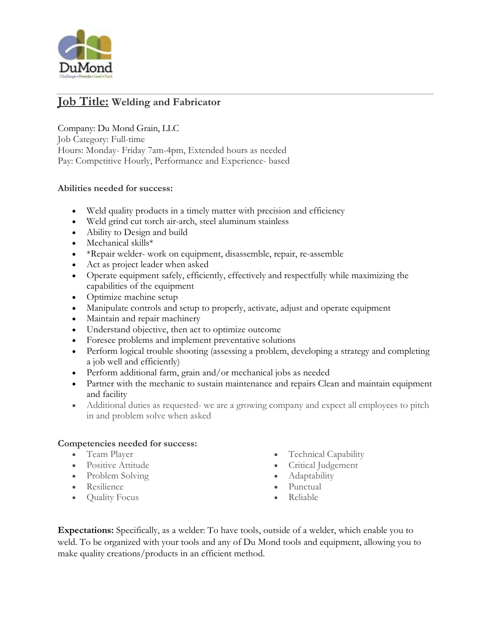

# **Job Title: Welding and Fabricator**

Company: Du Mond Grain, LLC

Job Category: Full-time Hours: Monday- Friday 7am-4pm, Extended hours as needed Pay: Competitive Hourly, Performance and Experience- based

#### **Abilities needed for success:**

- Weld quality products in a timely matter with precision and efficiency
- Weld grind cut torch air-arch, steel aluminum stainless
- Ability to Design and build
- Mechanical skills\*
- \*Repair welder- work on equipment, disassemble, repair, re-assemble
- Act as project leader when asked
- Operate equipment safely, efficiently, effectively and respectfully while maximizing the capabilities of the equipment
- Optimize machine setup
- Manipulate controls and setup to properly, activate, adjust and operate equipment
- Maintain and repair machinery
- Understand objective, then act to optimize outcome
- Foresee problems and implement preventative solutions
- Perform logical trouble shooting (assessing a problem, developing a strategy and completing a job well and efficiently)
- Perform additional farm, grain and/or mechanical jobs as needed
- Partner with the mechanic to sustain maintenance and repairs Clean and maintain equipment and facility
- Additional duties as requested- we are a growing company and expect all employees to pitch in and problem solve when asked

#### **Competencies needed for success:**

- Team Player
- Positive Attitude
- Problem Solving
- Resilience
- Quality Focus
- Technical Capability
- Critical Judgement
- Adaptability
- Punctual
- Reliable

**Expectations:** Specifically, as a welder: To have tools, outside of a welder, which enable you to weld. To be organized with your tools and any of Du Mond tools and equipment, allowing you to make quality creations/products in an efficient method.